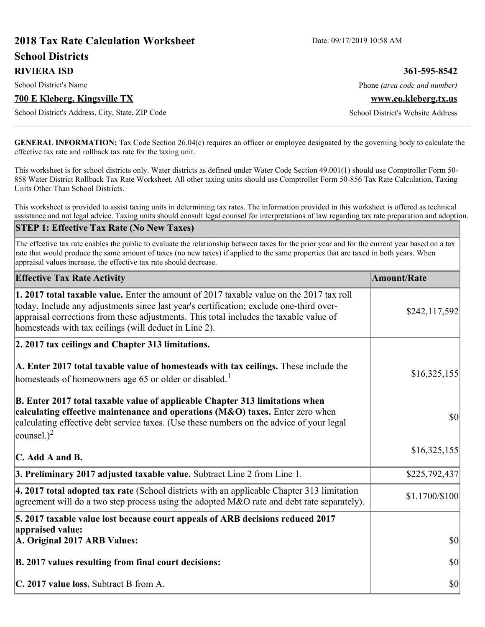# **2018 Tax Rate Calculation Worksheet** Date: 09/17/2019 10:58 AM **School Districts RIVIERA ISD 361-595-8542** School District's Name **Phone** *(area code and number)* Phone *(area code and number)* **700 E Kleberg, Kingsville TX www.co.kleberg.tx.us** School District's Address, City, State, ZIP Code School District's Website Address

**GENERAL INFORMATION:** Tax Code Section 26.04(c) requires an officer or employee designated by the governing body to calculate the effective tax rate and rollback tax rate for the taxing unit.

This worksheet is for school districts only. Water districts as defined under Water Code Section 49.001(1) should use Comptroller Form 50- 858 Water District Rollback Tax Rate Worksheet. All other taxing units should use Comptroller Form 50-856 Tax Rate Calculation, Taxing Units Other Than School Districts.

This worksheet is provided to assist taxing units in determining tax rates. The information provided in this worksheet is offered as technical assistance and not legal advice. Taxing units should consult legal counsel for interpretations of law regarding tax rate preparation and adoption.

#### **STEP 1: Effective Tax Rate (No New Taxes)**

The effective tax rate enables the public to evaluate the relationship between taxes for the prior year and for the current year based on a tax rate that would produce the same amount of taxes (no new taxes) if applied to the same properties that are taxed in both years. When appraisal values increase, the effective tax rate should decrease.

| <b>Effective Tax Rate Activity</b>                                                                                                                                                                                                                                                                                                     | <b>Amount/Rate</b> |
|----------------------------------------------------------------------------------------------------------------------------------------------------------------------------------------------------------------------------------------------------------------------------------------------------------------------------------------|--------------------|
| 1. 2017 total taxable value. Enter the amount of 2017 taxable value on the 2017 tax roll<br>today. Include any adjustments since last year's certification; exclude one-third over-<br>appraisal corrections from these adjustments. This total includes the taxable value of<br>homesteads with tax ceilings (will deduct in Line 2). | \$242,117,592      |
| 2. 2017 tax ceilings and Chapter 313 limitations.                                                                                                                                                                                                                                                                                      |                    |
| A. Enter 2017 total taxable value of homesteads with tax ceilings. These include the<br>homesteads of homeowners age 65 or older or disabled. <sup>1</sup>                                                                                                                                                                             | \$16,325,155       |
| B. Enter 2017 total taxable value of applicable Chapter 313 limitations when<br>calculating effective maintenance and operations (M&O) taxes. Enter zero when<br>calculating effective debt service taxes. (Use these numbers on the advice of your legal<br>counsel.) <sup>2</sup>                                                    | $ 10\rangle$       |
| $\mathbf C$ . Add A and B.                                                                                                                                                                                                                                                                                                             | \$16,325,155       |
| 3. Preliminary 2017 adjusted taxable value. Subtract Line 2 from Line 1.                                                                                                                                                                                                                                                               | \$225,792,437      |
| $\vert$ 4. 2017 total adopted tax rate (School districts with an applicable Chapter 313 limitation<br>agreement will do a two step process using the adopted M&O rate and debt rate separately).                                                                                                                                       | \$1.1700/\$100     |
| 5. 2017 taxable value lost because court appeals of ARB decisions reduced 2017                                                                                                                                                                                                                                                         |                    |
| appraised value:<br>A. Original 2017 ARB Values:                                                                                                                                                                                                                                                                                       | $ 10\rangle$       |
| B. 2017 values resulting from final court decisions:                                                                                                                                                                                                                                                                                   | $ 10\rangle$       |
| C. 2017 value loss. Subtract B from A.                                                                                                                                                                                                                                                                                                 | $ 10\rangle$       |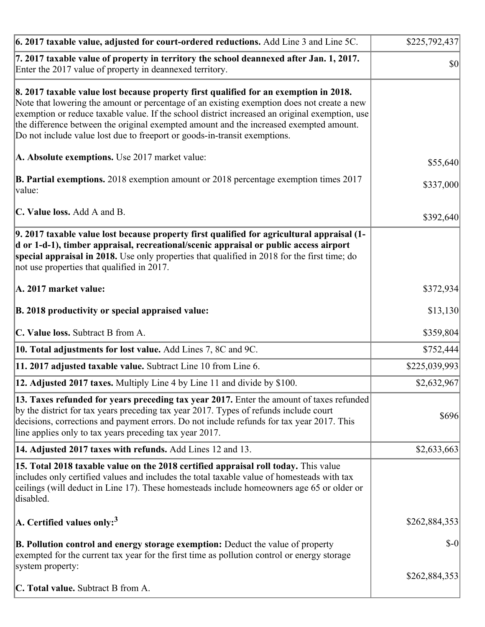| 6. 2017 taxable value, adjusted for court-ordered reductions. Add Line 3 and Line 5C.                                                                                                                                                                                                                                                                                                                                                                        | \$225,792,437 |
|--------------------------------------------------------------------------------------------------------------------------------------------------------------------------------------------------------------------------------------------------------------------------------------------------------------------------------------------------------------------------------------------------------------------------------------------------------------|---------------|
| 7. 2017 taxable value of property in territory the school deannexed after Jan. 1, 2017.<br>Enter the 2017 value of property in deannexed territory.                                                                                                                                                                                                                                                                                                          | \$0           |
| 8. 2017 taxable value lost because property first qualified for an exemption in 2018.<br>Note that lowering the amount or percentage of an existing exemption does not create a new<br>exemption or reduce taxable value. If the school district increased an original exemption, use<br>the difference between the original exempted amount and the increased exempted amount.<br>Do not include value lost due to freeport or goods-in-transit exemptions. |               |
| A. Absolute exemptions. Use 2017 market value:                                                                                                                                                                                                                                                                                                                                                                                                               | \$55,640      |
| <b>B. Partial exemptions.</b> 2018 exemption amount or 2018 percentage exemption times 2017<br>$\vert$ value:                                                                                                                                                                                                                                                                                                                                                | \$337,000     |
| C. Value loss. Add A and B.                                                                                                                                                                                                                                                                                                                                                                                                                                  | \$392,640     |
| 9. 2017 taxable value lost because property first qualified for agricultural appraisal (1-<br>d or 1-d-1), timber appraisal, recreational/scenic appraisal or public access airport<br>special appraisal in 2018. Use only properties that qualified in 2018 for the first time; do<br>not use properties that qualified in 2017.                                                                                                                            |               |
| A. 2017 market value:                                                                                                                                                                                                                                                                                                                                                                                                                                        | \$372,934     |
| B. 2018 productivity or special appraised value:                                                                                                                                                                                                                                                                                                                                                                                                             | \$13,130      |
| C. Value loss. Subtract B from A.                                                                                                                                                                                                                                                                                                                                                                                                                            | \$359,804     |
| 10. Total adjustments for lost value. Add Lines 7, 8C and 9C.                                                                                                                                                                                                                                                                                                                                                                                                | \$752,444     |
| 11. 2017 adjusted taxable value. Subtract Line 10 from Line 6.                                                                                                                                                                                                                                                                                                                                                                                               | \$225,039,993 |
| <b>12. Adjusted 2017 taxes.</b> Multiply Line 4 by Line 11 and divide by \$100.                                                                                                                                                                                                                                                                                                                                                                              | \$2,632,967   |
| [13. Taxes refunded for years preceding tax year 2017. Enter the amount of taxes refunded]<br>by the district for tax years preceding tax year 2017. Types of refunds include court<br>decisions, corrections and payment errors. Do not include refunds for tax year 2017. This<br>line applies only to tax years preceding tax year 2017.                                                                                                                  | \$696         |
| 14. Adjusted 2017 taxes with refunds. Add Lines 12 and 13.                                                                                                                                                                                                                                                                                                                                                                                                   | \$2,633,663   |
| 15. Total 2018 taxable value on the 2018 certified appraisal roll today. This value<br>includes only certified values and includes the total taxable value of homesteads with tax<br>ceilings (will deduct in Line 17). These homesteads include homeowners age 65 or older or<br>disabled.                                                                                                                                                                  |               |
| $ A$ . Certified values only: <sup>3</sup>                                                                                                                                                                                                                                                                                                                                                                                                                   | \$262,884,353 |
| <b>B. Pollution control and energy storage exemption:</b> Deduct the value of property<br>exempted for the current tax year for the first time as pollution control or energy storage<br>system property:                                                                                                                                                                                                                                                    | $$-0$         |
| <b>C. Total value.</b> Subtract B from A.                                                                                                                                                                                                                                                                                                                                                                                                                    | \$262,884,353 |
|                                                                                                                                                                                                                                                                                                                                                                                                                                                              |               |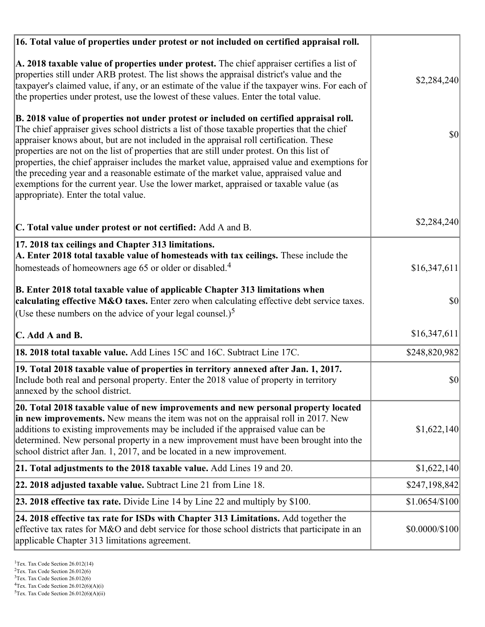| 16. Total value of properties under protest or not included on certified appraisal roll.                                                                                                                                                                                                                                                                                                                                                                                                                                                                                                                                                                                                                  |                |
|-----------------------------------------------------------------------------------------------------------------------------------------------------------------------------------------------------------------------------------------------------------------------------------------------------------------------------------------------------------------------------------------------------------------------------------------------------------------------------------------------------------------------------------------------------------------------------------------------------------------------------------------------------------------------------------------------------------|----------------|
| A. 2018 taxable value of properties under protest. The chief appraiser certifies a list of<br>properties still under ARB protest. The list shows the appraisal district's value and the<br>taxpayer's claimed value, if any, or an estimate of the value if the taxpayer wins. For each of<br>the properties under protest, use the lowest of these values. Enter the total value.                                                                                                                                                                                                                                                                                                                        | \$2,284,240    |
| B. 2018 value of properties not under protest or included on certified appraisal roll.<br>The chief appraiser gives school districts a list of those taxable properties that the chief<br>appraiser knows about, but are not included in the appraisal roll certification. These<br>properties are not on the list of properties that are still under protest. On this list of<br>properties, the chief appraiser includes the market value, appraised value and exemptions for<br>the preceding year and a reasonable estimate of the market value, appraised value and<br>exemptions for the current year. Use the lower market, appraised or taxable value (as<br>appropriate). Enter the total value. | 30             |
| C. Total value under protest or not certified: Add A and B.                                                                                                                                                                                                                                                                                                                                                                                                                                                                                                                                                                                                                                               | \$2,284,240    |
| 17. 2018 tax ceilings and Chapter 313 limitations.<br>A. Enter 2018 total taxable value of homesteads with tax ceilings. These include the<br>homesteads of homeowners age 65 or older or disabled. <sup>4</sup>                                                                                                                                                                                                                                                                                                                                                                                                                                                                                          | \$16,347,611   |
| B. Enter 2018 total taxable value of applicable Chapter 313 limitations when<br>calculating effective M&O taxes. Enter zero when calculating effective debt service taxes.<br>(Use these numbers on the advice of your legal counsel.) <sup>5</sup>                                                                                                                                                                                                                                                                                                                                                                                                                                                       | \$0            |
| C. Add A and B.                                                                                                                                                                                                                                                                                                                                                                                                                                                                                                                                                                                                                                                                                           | \$16,347,611   |
| 18. 2018 total taxable value. Add Lines 15C and 16C. Subtract Line 17C.                                                                                                                                                                                                                                                                                                                                                                                                                                                                                                                                                                                                                                   | \$248,820,982  |
| 19. Total 2018 taxable value of properties in territory annexed after Jan. 1, 2017.<br>Include both real and personal property. Enter the 2018 value of property in territory<br>annexed by the school district.                                                                                                                                                                                                                                                                                                                                                                                                                                                                                          | \$0            |
| 20. Total 2018 taxable value of new improvements and new personal property located<br>in new improvements. New means the item was not on the appraisal roll in 2017. New<br>additions to existing improvements may be included if the appraised value can be<br>determined. New personal property in a new improvement must have been brought into the<br>school district after Jan. 1, 2017, and be located in a new improvement.                                                                                                                                                                                                                                                                        | \$1,622,140    |
| 21. Total adjustments to the 2018 taxable value. Add Lines 19 and 20.                                                                                                                                                                                                                                                                                                                                                                                                                                                                                                                                                                                                                                     | \$1,622,140    |
| <b>22. 2018 adjusted taxable value.</b> Subtract Line 21 from Line 18.                                                                                                                                                                                                                                                                                                                                                                                                                                                                                                                                                                                                                                    | \$247,198,842  |
| 23. 2018 effective tax rate. Divide Line 14 by Line 22 and multiply by \$100.                                                                                                                                                                                                                                                                                                                                                                                                                                                                                                                                                                                                                             | \$1.0654/\$100 |
| 24. 2018 effective tax rate for ISDs with Chapter 313 Limitations. Add together the<br>effective tax rates for M&O and debt service for those school districts that participate in an<br>applicable Chapter 313 limitations agreement.                                                                                                                                                                                                                                                                                                                                                                                                                                                                    | \$0.0000/\$100 |

<sup>&</sup>lt;sup>1</sup>Tex. Tax Code Section 26.012(14)

 $2$ Tex. Tax Code Section 26.012(6)

<sup>&</sup>lt;sup>3</sup>Tex. Tax Code Section 26.012(6)

 ${}^{4}$ Tex. Tax Code Section 26.012(6)(A)(i)

 $5$ Tex. Tax Code Section 26.012(6)(A)(ii)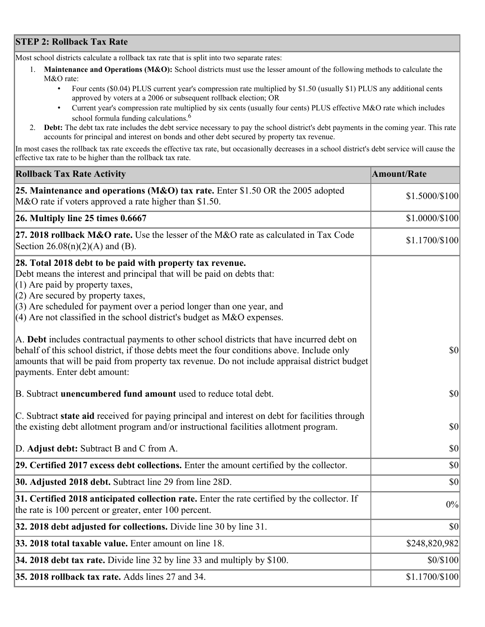## **STEP 2: Rollback Tax Rate**

Most school districts calculate a rollback tax rate that is split into two separate rates:

- 1. **Maintenance and Operations (M&O):** School districts must use the lesser amount of the following methods to calculate the M&O rate:
	- Four cents (\$0.04) PLUS current year's compression rate multiplied by \$1.50 (usually \$1) PLUS any additional cents approved by voters at a 2006 or subsequent rollback election; OR
	- Current year's compression rate multiplied by six cents (usually four cents) PLUS effective M&O rate which includes school formula funding calculations.<sup>6</sup>
- 2. **Debt:** The debt tax rate includes the debt service necessary to pay the school district's debt payments in the coming year. This rate accounts for principal and interest on bonds and other debt secured by property tax revenue.

In most cases the rollback tax rate exceeds the effective tax rate, but occasionally decreases in a school district's debt service will cause the effective tax rate to be higher than the rollback tax rate.

| <b>Rollback Tax Rate Activity</b>                                                                                                                                                                                                                                                                                                                                        | <b>Amount/Rate</b> |
|--------------------------------------------------------------------------------------------------------------------------------------------------------------------------------------------------------------------------------------------------------------------------------------------------------------------------------------------------------------------------|--------------------|
| 25. Maintenance and operations (M&O) tax rate. Enter \$1.50 OR the 2005 adopted<br>M&O rate if voters approved a rate higher than \$1.50.                                                                                                                                                                                                                                | \$1.5000/\$100     |
| $26.$ Multiply line 25 times $0.6667$                                                                                                                                                                                                                                                                                                                                    | \$1.0000/\$100     |
| 27. 2018 rollback $M&O$ rate. Use the lesser of the M&O rate as calculated in Tax Code<br>Section $26.08(n)(2)(A)$ and (B).                                                                                                                                                                                                                                              | \$1.1700/\$100     |
| 28. Total 2018 debt to be paid with property tax revenue.<br>Debt means the interest and principal that will be paid on debts that:<br>$(1)$ Are paid by property taxes,<br>$(2)$ Are secured by property taxes,<br>$(3)$ Are scheduled for payment over a period longer than one year, and<br>$(4)$ Are not classified in the school district's budget as M&O expenses. |                    |
| A. Debt includes contractual payments to other school districts that have incurred debt on<br>behalf of this school district, if those debts meet the four conditions above. Include only<br>amounts that will be paid from property tax revenue. Do not include appraisal district budget<br>payments. Enter debt amount:                                               | $ 10\rangle$       |
| B. Subtract unencumbered fund amount used to reduce total debt.                                                                                                                                                                                                                                                                                                          | $ 10\rangle$       |
| C. Subtract state aid received for paying principal and interest on debt for facilities through<br>the existing debt allotment program and/or instructional facilities allotment program.                                                                                                                                                                                | $ 10\rangle$       |
| D. Adjust debt: Subtract B and C from A.                                                                                                                                                                                                                                                                                                                                 | $ 10\rangle$       |
| 29. Certified 2017 excess debt collections. Enter the amount certified by the collector.                                                                                                                                                                                                                                                                                 | $ 10\rangle$       |
| 30. Adjusted 2018 debt. Subtract line 29 from line 28D.                                                                                                                                                                                                                                                                                                                  | \$0                |
| 31. Certified 2018 anticipated collection rate. Enter the rate certified by the collector. If<br>the rate is 100 percent or greater, enter 100 percent.                                                                                                                                                                                                                  | 0%                 |
| $32.2018$ debt adjusted for collections. Divide line 30 by line 31.                                                                                                                                                                                                                                                                                                      | $ 10\rangle$       |
| 33. 2018 total taxable value. Enter amount on line 18.                                                                                                                                                                                                                                                                                                                   | \$248,820,982      |
| 34. 2018 debt tax rate. Divide line 32 by line 33 and multiply by \$100.                                                                                                                                                                                                                                                                                                 | \$0/\$100          |
| 35. 2018 rollback tax rate. Adds lines 27 and 34.                                                                                                                                                                                                                                                                                                                        | \$1.1700/\$100     |